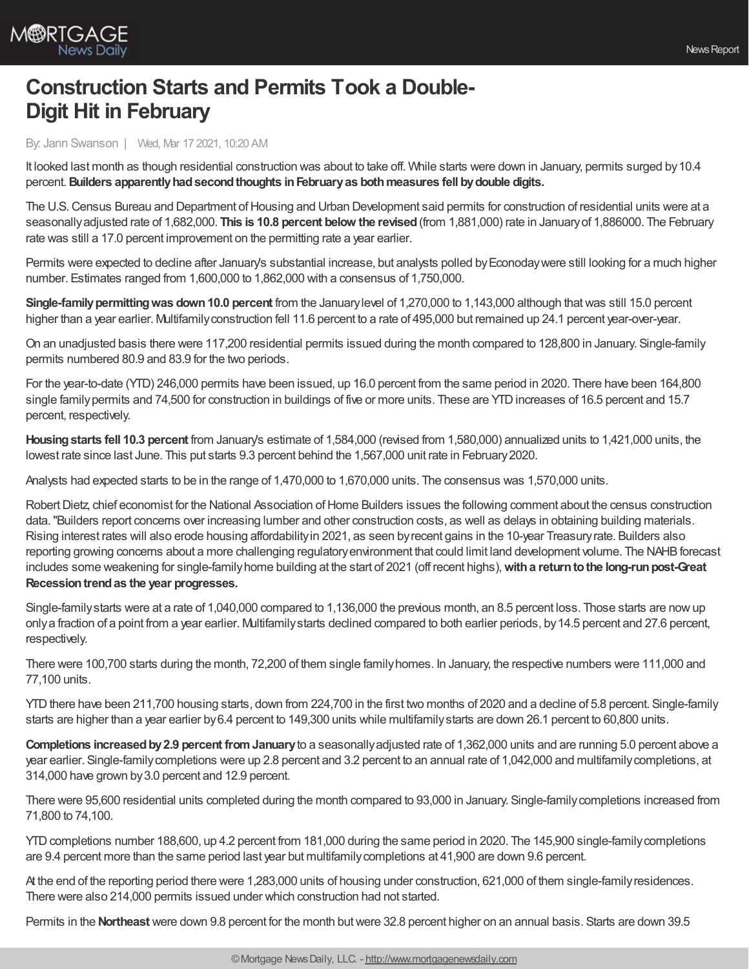

## **Construction Starts and Permits Took a Double-Digit Hit in February**

By: Jann Swanson | Wed, Mar 17 2021, 10:20 AM

It looked last month as though residential construction was about to take off. While starts were down in January, permits surged by10.4 percent.**Builders apparentlyhadsecondthoughts inFebruaryas bothmeasures fell bydouble digits.**

The U.S. Census Bureau and Department of Housing and Urban Development said permits for construction of residential units were at a seasonallyadjusted rate of 1,682,000. **This is 10.8 percent below the revised**(from 1,881,000) rate in Januaryof 1,886000. The February rate was still a 17.0 percent improvement on the permitting rate a year earlier.

Permits were expected to decline after January's substantial increase, but analysts polled by Econoday were still looking for a much higher number. Estimates ranged from 1,600,000 to 1,862,000 with a consensus of 1,750,000.

**Single-family permitting was down 10.0 percent** from the January level of 1,270,000 to 1,143,000 although that was still 15.0 percent higher than a year earlier. Multifamily construction fell 11.6 percent to a rate of 495,000 but remained up 24.1 percent year-over-year.

On an unadjusted basis there were 117,200 residential permits issued during the month compared to 128,800 in January. Single-family permits numbered 80.9 and 83.9 for the two periods.

For the year-to-date (YTD) 246,000 permits have been issued, up 16.0 percent from the same period in 2020. There have been 164,800 single family permits and 74,500 for construction in buildings of five or more units. These are YTD increases of 16.5 percent and 15.7 percent, respectively.

**Housingstarts fell 10.3 percent** from January's estimate of 1,584,000 (revised from 1,580,000) annualized units to 1,421,000 units, the lowest rate since last June. This put starts 9.3 percent behind the 1,567,000 unit rate in February2020.

Analysts had expected starts to be in the range of 1,470,000 to 1,670,000 units. The consensus was 1,570,000 units.

Robert Dietz, chief economist for the National Association of Home Builders issues the following comment about the census construction data."Builders report concerns over increasing lumber and other construction costs, as well as delays in obtaining building materials. Rising interest rates will also erode housing affordabilityin 2021, as seen byrecent gains in the 10-year Treasuryrate. Builders also reporting growing concerns about a more challenging regulatory environment that could limit land development volume. The NAHB forecast includes some weakening for single-familyhome building at the start of 2021 (off recent highs),**witha returntothe long-runpost-Great Recessiontrendas the year progresses.**

Single-familystarts were at a rate of 1,040,000 compared to 1,136,000 the previous month, an 8.5 percent loss. Those starts are nowup onlya fraction of a point from a year earlier. Multifamilystarts declined compared to both earlier periods, by14.5 percent and 27.6 percent, respectively.

There were 100,700 starts during the month, 72,200 of them single familyhomes. In January, the respective numbers were 111,000 and 77,100 units.

YTD there have been 211,700 housing starts, down from 224,700 in the first two months of 2020 and a decline of 5.8 percent. Single-family starts are higher than a year earlier by6.4 percent to 149,300 units while multifamilystarts are down 26.1 percent to 60,800 units.

**Completions increased by 2.9 percent from January** to a seasonally adjusted rate of 1,362,000 units and are running 5.0 percent above a year earlier. Single-familycompletions were up 2.8 percent and 3.2 percent to an annual rate of 1,042,000 and multifamilycompletions, at 314,000 have grown by3.0 percent and 12.9 percent.

There were 95,600 residential units completed during the month compared to 93,000 in January. Single-familycompletions increased from 71,800 to 74,100.

YTD completions number 188,600, up 4.2 percent from 181,000 during the same period in 2020. The 145,900 single-family completions are 9.4 percent more than the same period last year but multifamilycompletions at 41,900 are down 9.6 percent.

At the end of the reporting period there were 1,283,000 units of housing under construction, 621,000 of them single-familyresidences. There were also 214,000 permits issued under which construction had not started.

Permits in the **Northeast** were down 9.8 percent for the month butwere 32.8 percent higher on an annual basis. Starts are down 39.5